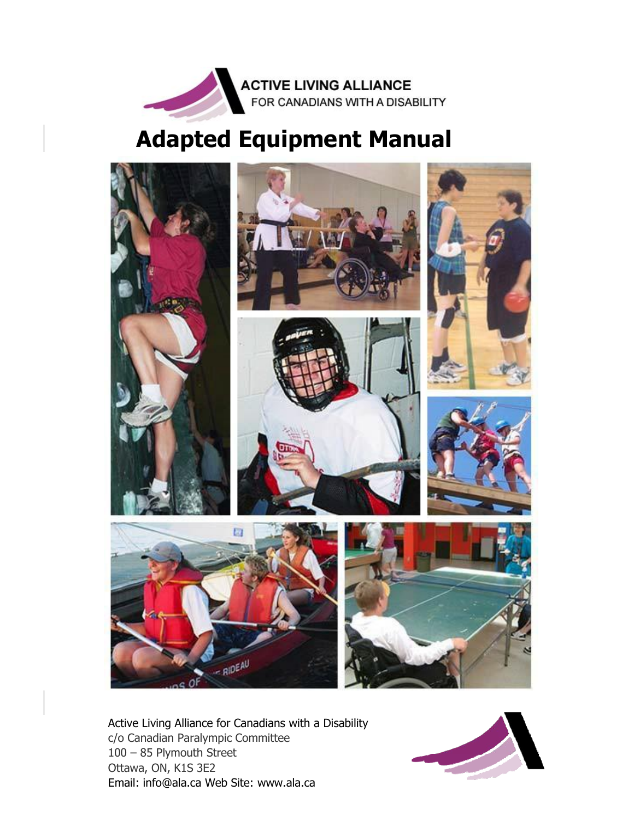

# **Adapted Equipment Manual**



Active Living Alliance for Canadians with a Disability c/o Canadian Paralympic Committee 100 – 85 Plymouth Street Ottawa, ON, K1S 3E2 Email: [info@ala.ca](mailto:info@ala.ca) Web Site: [www.ala.ca](http://www.ala.ca/)

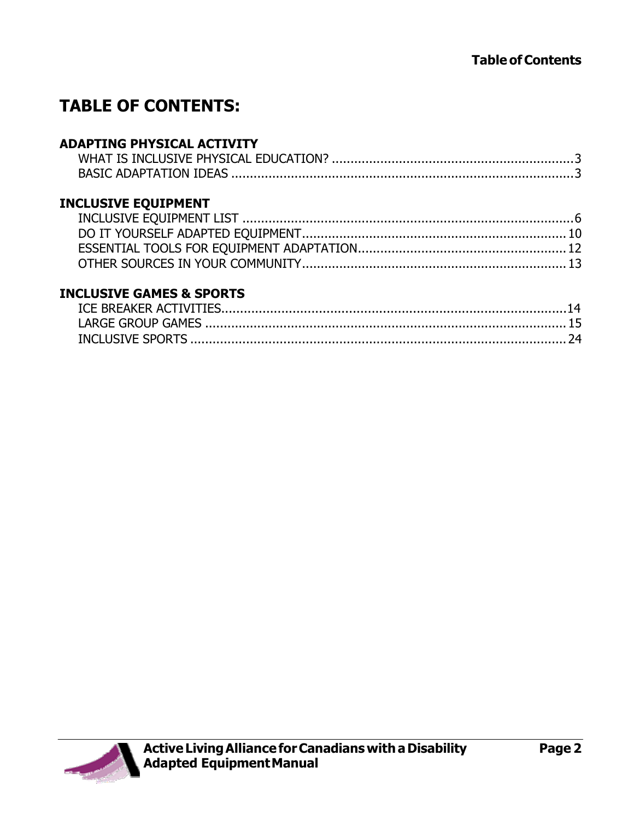# **TABLE OF CONTENTS:**

## **ADAPTING PHYSICAL ACTIVITY**

# **[INCLUSIVE EQUIPMENT](#page-5-0)**

#### **[INCLUSIVE GAMES & SPORTS](#page-15-0)**

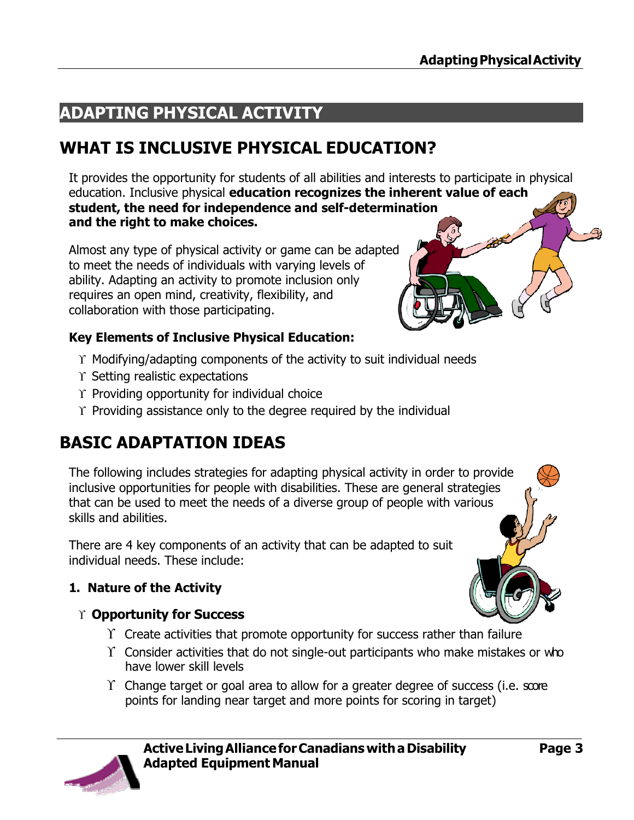# **ADAPTING PHYSICAL ACTIVITY**

# <span id="page-2-0"></span>**WHAT IS INCLUSIVE PHYSICAL EDUCATION?**

It provides the opportunity for students of all abilities and interests to participate in physical education. Inclusive physical **education recognizes the inherent value of each student, the need for independence and self-determination and the right to make choices.**

Almost any type of physical activity or game can be adapted to meet the needs of individuals with varying levels of ability. Adapting an activity to promote inclusion only requires an open mind, creativity, flexibility, and collaboration with those participating.

#### **Key Elements of Inclusive Physical Education:**

- $\Upsilon$  Modifying/adapting components of the activity to suit individual needs
- $\Upsilon$  Setting realistic expectations
- $\Upsilon$  Providing opportunity for individual choice
- $\Upsilon$  Providing assistance only to the degree required by the individual

# <span id="page-2-1"></span>**BASIC ADAPTATION IDEAS**

The following includes strategies for adapting physical activity in order to provide inclusive opportunities for people with disabilities. These are general strategies that can be used to meet the needs of a diverse group of people with various skills and abilities.

There are 4 key components of an activity that can be adapted to suit individual needs. These include:

# **1. Nature of the Activity**

#### **Opportunity for Success**

- $\Upsilon$  Create activities that promote opportunity for success rather than failure
- $\Upsilon$  Consider activities that do not single-out participants who make mistakes or who have lower skill levels
- $\Upsilon$  Change target or goal area to allow for a greater degree of success (i.e. score points for landing near target and more points for scoring in target)

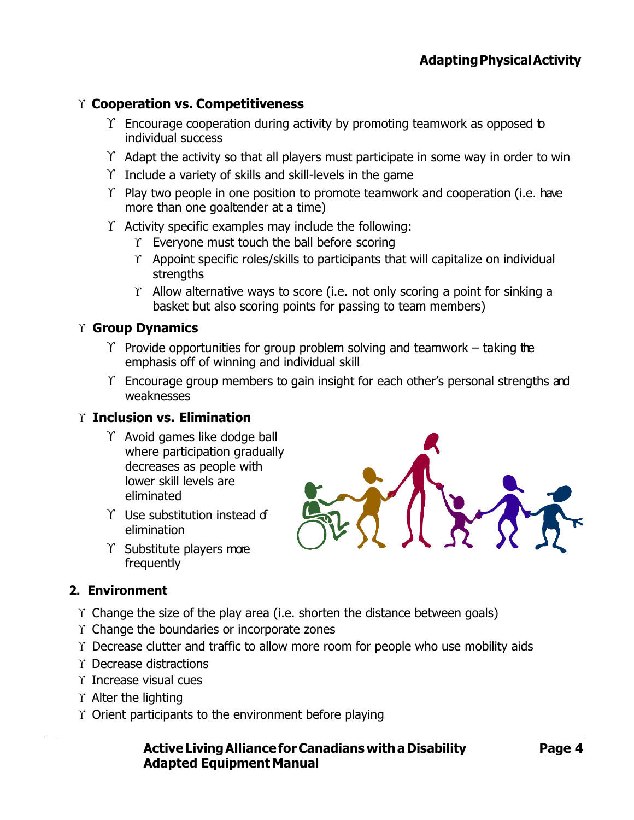#### **Cooperation vs. Competitiveness**

- $\Upsilon$  Encourage cooperation during activity by promoting teamwork as opposed to individual success
- $\Upsilon$  Adapt the activity so that all players must participate in some way in order to win
- $\Upsilon$  Include a variety of skills and skill-levels in the game
- $\Upsilon$  Play two people in one position to promote teamwork and cooperation (i.e. have more than one goaltender at a time)
- $\Upsilon$  Activity specific examples may include the following:
	- $\Upsilon$  Everyone must touch the ball before scoring
	- $\Upsilon$  Appoint specific roles/skills to participants that will capitalize on individual strengths
	- $\Upsilon$  Allow alternative ways to score (i.e. not only scoring a point for sinking a basket but also scoring points for passing to team members)

#### **Group Dynamics**

- $\Upsilon$  Provide opportunities for group problem solving and teamwork taking the emphasis off of winning and individual skill
- $\Upsilon$  Encourage group members to gain insight for each other's personal strengths and weaknesses

#### **Inclusion vs. Elimination**

- $\Upsilon$  Avoid games like dodge ball where participation gradually decreases as people with lower skill levels are eliminated
- $\Upsilon$  Use substitution instead of elimination
- $\Upsilon$  Substitute players more frequently

#### **2. Environment**

- $\Upsilon$  Change the size of the play area (i.e. shorten the distance between goals)
- $\Upsilon$  Change the boundaries or incorporate zones
- $\Upsilon$  Decrease clutter and traffic to allow more room for people who use mobility aids
- Decrease distractions
- $\Upsilon$  Increase visual cues
- $\Upsilon$  Alter the lighting
- $\Upsilon$  Orient participants to the environment before playing

**ActiveLivingAllianceforCanadians withaDisability Adapted Equipment Manual**

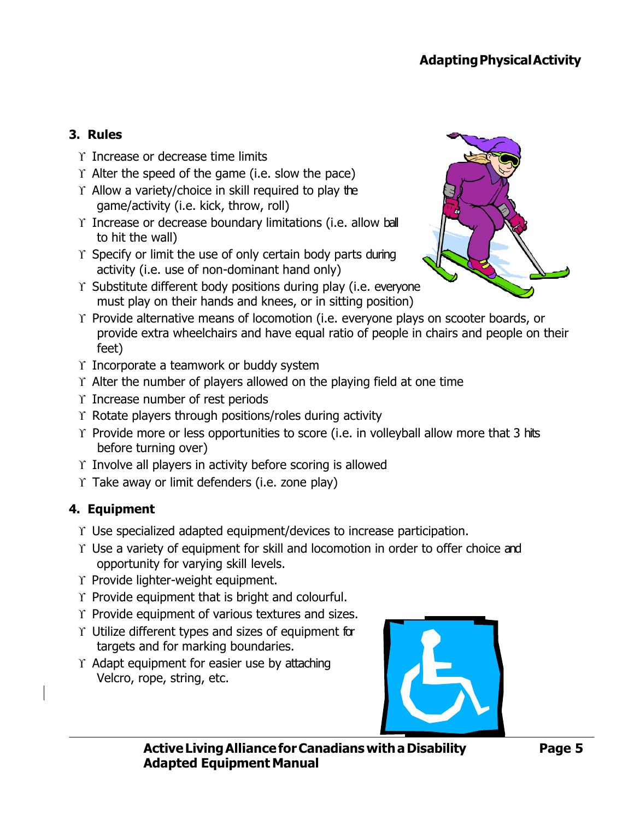# **3. Rules**

- $\Upsilon$  Increase or decrease time limits
- $\Upsilon$  Alter the speed of the game (i.e. slow the pace)
- $\Upsilon$  Allow a variety/choice in skill required to play the game/activity (i.e. kick, throw, roll)
- $\Upsilon$  Increase or decrease boundary limitations (i.e. allow ball to hit the wall)
- $\Upsilon$  Specify or limit the use of only certain body parts during activity (i.e. use of non-dominant hand only)
- $\Upsilon$  Substitute different body positions during play (i.e. everyone must play on their hands and knees, or in sitting position)



- $\Upsilon$  Provide alternative means of locomotion (i.e. everyone plays on scooter boards, or provide extra wheelchairs and have equal ratio of people in chairs and people on their feet)
- $\Upsilon$  Incorporate a teamwork or buddy system
- $\Upsilon$  Alter the number of players allowed on the playing field at one time
- $\Upsilon$  Increase number of rest periods
- $\Upsilon$  Rotate players through positions/roles during activity
- $\Upsilon$  Provide more or less opportunities to score (i.e. in volleyball allow more that 3 hits before turning over)
- $\Upsilon$  Involve all players in activity before scoring is allowed
- $\Upsilon$  Take away or limit defenders (i.e. zone play)

#### **4. Equipment**

- $\Upsilon$  Use specialized adapted equipment/devices to increase participation.
- $\Upsilon$  Use a variety of equipment for skill and locomotion in order to offer choice and opportunity for varying skill levels.
- Y Provide lighter-weight equipment.
- $\Upsilon$  Provide equipment that is bright and colourful.
- $\Upsilon$  Provide equipment of various textures and sizes.
- $\Upsilon$  Utilize different types and sizes of equipment for targets and for marking boundaries.
- $\Upsilon$  Adapt equipment for easier use by attaching Velcro, rope, string, etc.

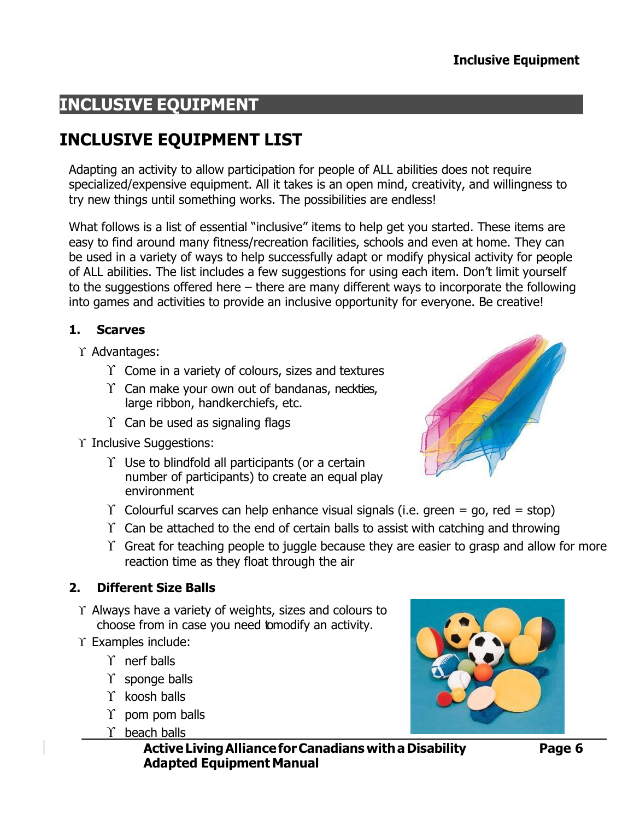# <span id="page-5-0"></span>**INCLUSIVE EQUIPMENT**

# <span id="page-5-1"></span>**INCLUSIVE EQUIPMENT LIST**

Adapting an activity to allow participation for people of ALL abilities does not require specialized/expensive equipment. All it takes is an open mind, creativity, and willingness to try new things until something works. The possibilities are endless!

What follows is a list of essential "inclusive" items to help get you started. These items are easy to find around many fitness/recreation facilities, schools and even at home. They can be used in a variety of ways to help successfully adapt or modify physical activity for people of ALL abilities. The list includes a few suggestions for using each item. Don't limit yourself to the suggestions offered here – there are many different ways to incorporate the following into games and activities to provide an inclusive opportunity for everyone. Be creative!

#### **1. Scarves**

- $\Upsilon$  Advantages:
	- $\Upsilon$  Come in a variety of colours, sizes and textures
	- $\Upsilon$  Can make your own out of bandanas, neckties, large ribbon, handkerchiefs, etc.
	- $\Upsilon$  Can be used as signaling flags
- $\Upsilon$  Inclusive Suggestions:
	- $\Upsilon$  Use to blindfold all participants (or a certain number of participants) to create an equal play environment



- $\Upsilon$  Colourful scarves can help enhance visual signals (i.e. green = go, red = stop)
- $\Upsilon$  Can be attached to the end of certain balls to assist with catching and throwing
- $\Upsilon$  Great for teaching people to juggle because they are easier to grasp and allow for more reaction time as they float through the air

#### **2. Different Size Balls**

- $\Upsilon$  Always have a variety of weights, sizes and colours to choose from in case you need to modify an activity.
- $\Upsilon$  Examples include:
	- $\Upsilon$  nerf balls
	- $\Upsilon$  sponge balls
	- $\Upsilon$  koosh balls
	- $\Upsilon$  pom pom balls
	- $\Upsilon$  beach balls

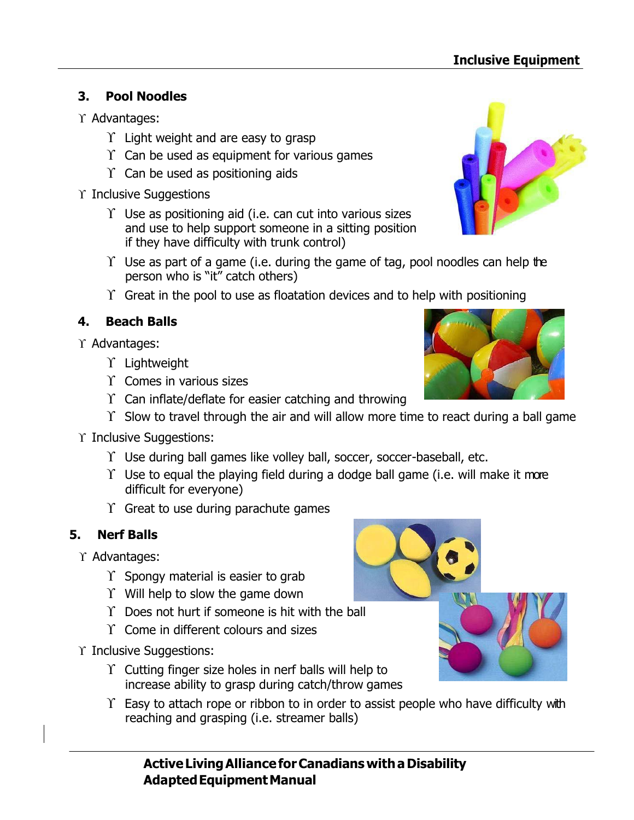# **3. Pool Noodles**

- $\Upsilon$  Advantages:
	- $\Upsilon$  Light weight and are easy to grasp
	- $\Upsilon$  Can be used as equipment for various games
	- $\Upsilon$  Can be used as positioning aids
- $\Upsilon$  Inclusive Suggestions
	- $\Upsilon$  Use as positioning aid (i.e. can cut into various sizes and use to help support someone in a sitting position if they have difficulty with trunk control)
	- $\Upsilon$  Use as part of a game (i.e. during the game of tag, pool noodles can help the person who is "it" catch others)
	- $\Upsilon$  Great in the pool to use as floatation devices and to help with positioning

# **4. Beach Balls**

- $\Upsilon$  Advantages:
	- $\Upsilon$  Lightweight
	- $\Upsilon$  Comes in various sizes
	- $\Upsilon$  Can inflate/deflate for easier catching and throwing
	- $\Upsilon$  Slow to travel through the air and will allow more time to react during a ball game
- $\Upsilon$  Inclusive Suggestions:
	- $\Upsilon$  Use during ball games like volley ball, soccer, soccer-baseball, etc.
	- $\Upsilon$  Use to equal the playing field during a dodge ball game (i.e. will make it more difficult for everyone)
	- $\Upsilon$  Great to use during parachute games

# **5. Nerf Balls**

- $\Upsilon$  Advantages:
	- $\Upsilon$  Spongy material is easier to grab
	- $\Upsilon$  Will help to slow the game down
	- $\Upsilon$  Does not hurt if someone is hit with the ball
	- $\Upsilon$  Come in different colours and sizes
- Y Inclusive Suggestions:
	- $\Upsilon$  Cutting finger size holes in nerf balls will help to increase ability to grasp during catch/throw games
	- $\Upsilon$  Easy to attach rope or ribbon to in order to assist people who have difficulty with reaching and grasping (i.e. streamer balls)

**ActiveLivingAllianceforCanadians withaDisability AdaptedEquipmentManual**





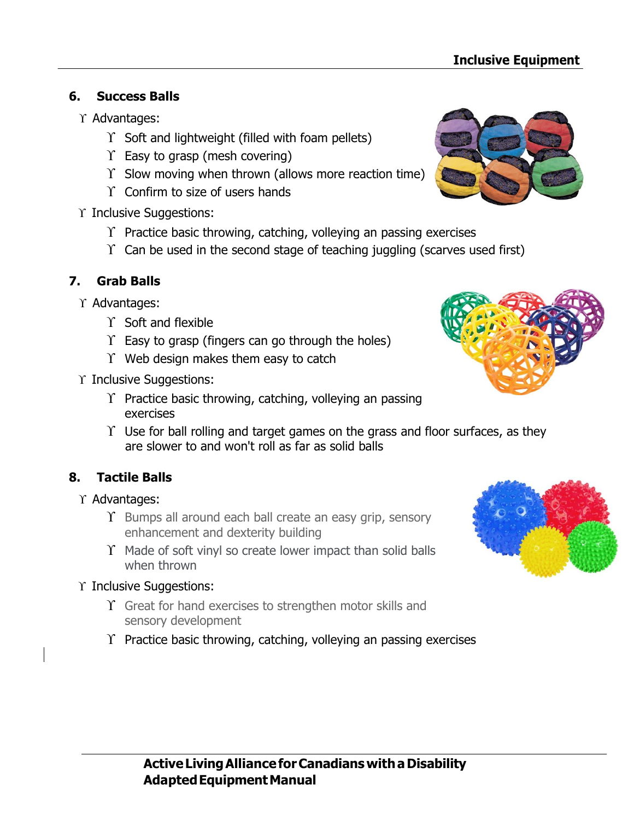# **6. Success Balls**

- Advantages:
	- $\Upsilon$  Soft and lightweight (filled with foam pellets)
	- $\Upsilon$  Easy to grasp (mesh covering)
	- $\Upsilon$  Slow moving when thrown (allows more reaction time)
	- $\Upsilon$  Confirm to size of users hands
- Y Inclusive Suggestions:
	- $\Upsilon$  Practice basic throwing, catching, volleying an passing exercises
	- $\Upsilon$  Can be used in the second stage of teaching juggling (scarves used first)

# **7. Grab Balls**

- Y Advantages:
	- $\Upsilon$  Soft and flexible
	- $\Upsilon$  Easy to grasp (fingers can go through the holes)
	- $\Upsilon$  Web design makes them easy to catch
- Y Inclusive Suggestions:
	- $\Upsilon$  Practice basic throwing, catching, volleying an passing exercises
	- $\Upsilon$  Use for ball rolling and target games on the grass and floor surfaces, as they are slower to and won't roll as far as solid balls

# **8. Tactile Balls**

- $\Upsilon$  Advantages:
	- $\Upsilon$  Bumps all around each ball create an easy grip, sensory enhancement and dexterity building
	- $\Upsilon$  Made of soft vinyl so create lower impact than solid balls when thrown
- Y Inclusive Suggestions:
	- $\Upsilon$  Great for hand exercises to strengthen motor skills and sensory development
	- $\Upsilon$  Practice basic throwing, catching, volleying an passing exercises







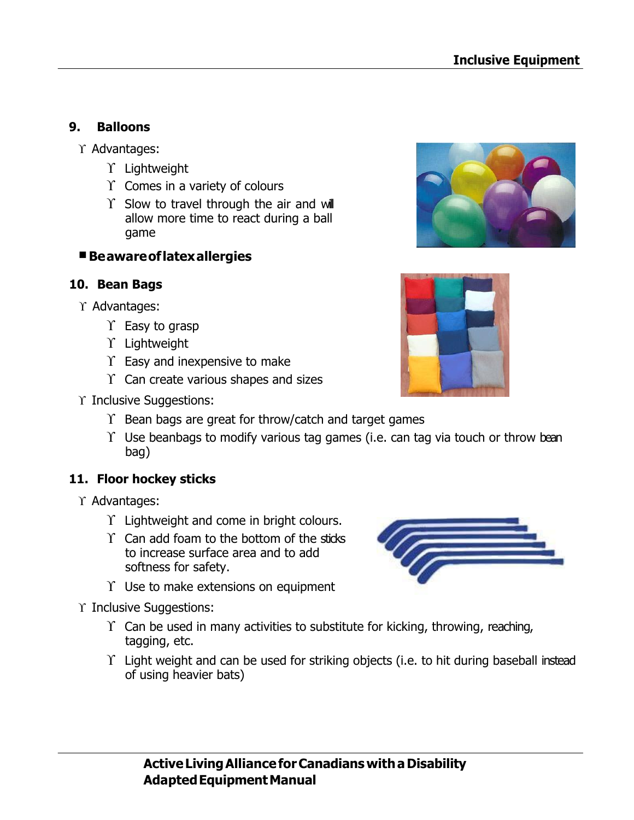#### **9. Balloons**

- $\Upsilon$  Advantages:
	- $\Upsilon$  Lightweight
	- $\Upsilon$  Comes in a variety of colours
	- $\Upsilon$  Slow to travel through the air and will allow more time to react during a ball game

#### **Beawareoflatexallergies**

#### **10. Bean Bags**

- $\Upsilon$  Advantages:
	- $\Upsilon$  Easy to grasp
	- Y Lightweight
	- $\Upsilon$  Easy and inexpensive to make
	- $\Upsilon$  Can create various shapes and sizes
- Y Inclusive Suggestions:
	- $\Upsilon$  Bean bags are great for throw/catch and target games
	- $\Upsilon$  Use beanbags to modify various tag games (i.e. can tag via touch or throw bean bag)

#### **11. Floor hockey sticks**

- $\Upsilon$  Advantages:
	- $\Upsilon$  Lightweight and come in bright colours.
	- $\Upsilon$  Can add foam to the bottom of the sticks to increase surface area and to add softness for safety.
	- $\Upsilon$  Use to make extensions on equipment
- $\Upsilon$  Inclusive Suggestions:
	- $\Upsilon$  Can be used in many activities to substitute for kicking, throwing, reaching, tagging, etc.
	- $\Upsilon$  Light weight and can be used for striking objects (i.e. to hit during baseball instead of using heavier bats)





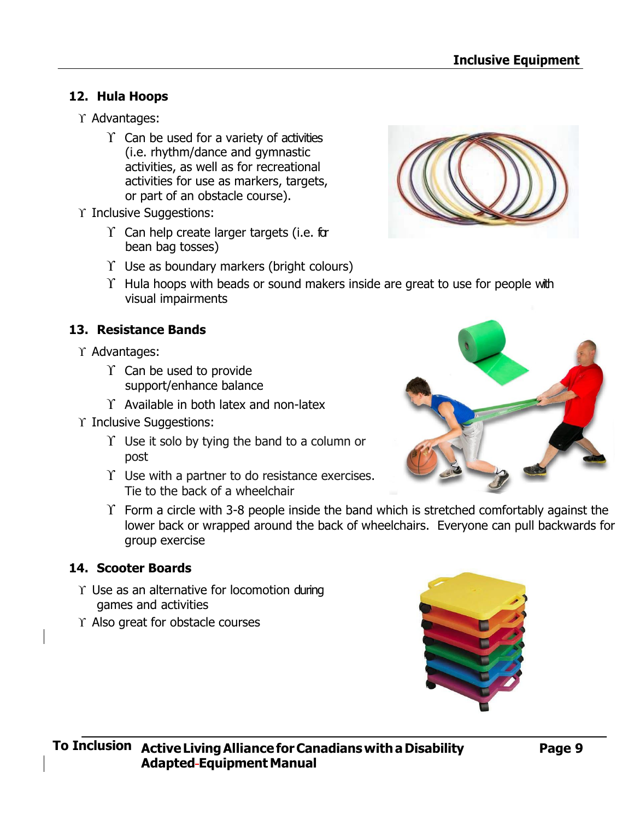### **12. Hula Hoops**

- $\Upsilon$  Advantages:
	- $\Upsilon$  Can be used for a variety of activities (i.e. rhythm/dance and gymnastic activities, as well as for recreational activities for use as markers, targets, or part of an obstacle course).
- Y Inclusive Suggestions:
	- $\Upsilon$  Can help create larger targets (i.e. for bean bag tosses)
	- $\Upsilon$  Use as boundary markers (bright colours)
	- $\Upsilon$  Hula hoops with beads or sound makers inside are great to use for people with visual impairments

#### **13. Resistance Bands**

- $\Upsilon$  Advantages:
	- $\Upsilon$  Can be used to provide support/enhance balance
	- $\Upsilon$  Available in both latex and non-latex
- Y Inclusive Suggestions:
	- $\Upsilon$  Use it solo by tying the band to a column or post
	- $\Upsilon$  Use with a partner to do resistance exercises. Tie to the back of a wheelchair
	- $\Upsilon$  Form a circle with 3-8 people inside the band which is stretched comfortably against the lower back or wrapped around the back of wheelchairs. Everyone can pull backwards for group exercise

#### **14. Scooter Boards**

- $\Upsilon$  Use as an alternative for locomotion during games and activities
- $\Upsilon$  Also great for obstacle courses





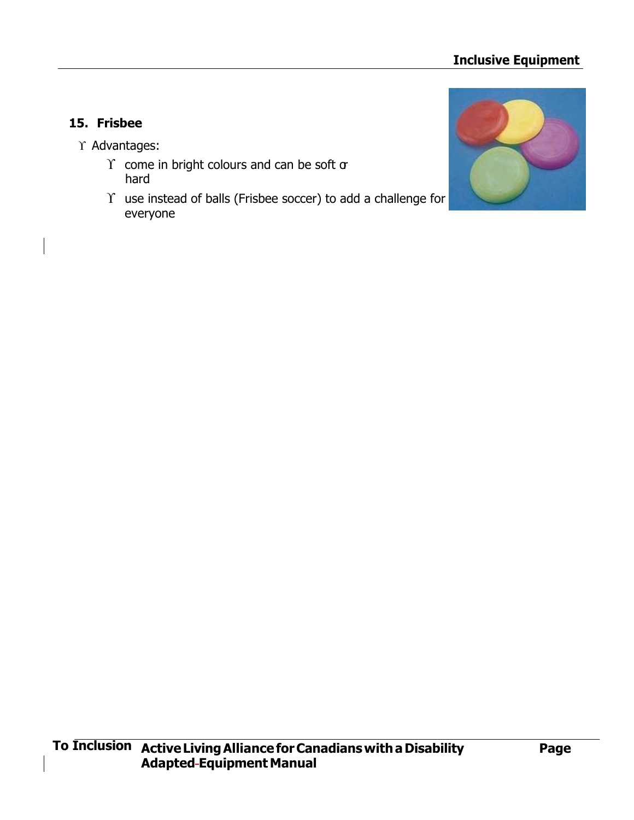# **Inclusive Equipment**

### **15. Frisbee**

- $\Upsilon$  Advantages:
	- $\Upsilon$  come in bright colours and can be soft  $\sigma$ hard
	- $\Upsilon$  use instead of balls (Frisbee soccer) to add a challenge for everyone

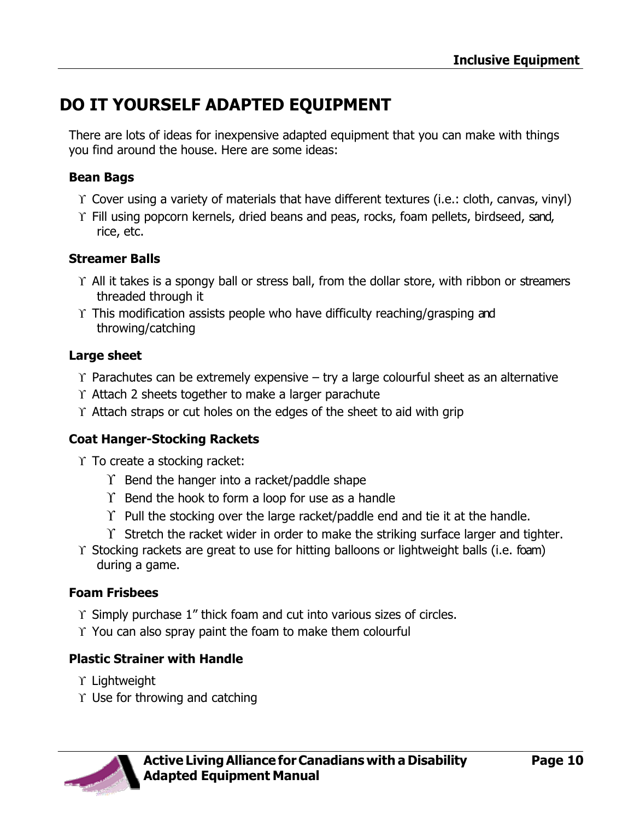# <span id="page-11-0"></span>**DO IT YOURSELF ADAPTED EQUIPMENT**

There are lots of ideas for inexpensive adapted equipment that you can make with things you find around the house. Here are some ideas:

#### **Bean Bags**

- Cover using a variety of materials that have different textures (i.e.: cloth, canvas, vinyl)
- $\Upsilon$  Fill using popcorn kernels, dried beans and peas, rocks, foam pellets, birdseed, sand, rice, etc.

#### **Streamer Balls**

- $\Upsilon$  All it takes is a spongy ball or stress ball, from the dollar store, with ribbon or streamers threaded through it
- $\Upsilon$  This modification assists people who have difficulty reaching/grasping and throwing/catching

#### **Large sheet**

- $\Upsilon$  Parachutes can be extremely expensive try a large colourful sheet as an alternative
- $\Upsilon$  Attach 2 sheets together to make a larger parachute
- $\Upsilon$  Attach straps or cut holes on the edges of the sheet to aid with grip

#### **Coat Hanger-Stocking Rackets**

 $\Upsilon$  To create a stocking racket:

- $\Upsilon$  Bend the hanger into a racket/paddle shape
- $\Upsilon$  Bend the hook to form a loop for use as a handle
- $\Upsilon$  Pull the stocking over the large racket/paddle end and tie it at the handle.
- $\Upsilon$  Stretch the racket wider in order to make the striking surface larger and tighter.
- $\Upsilon$  Stocking rackets are great to use for hitting balloons or lightweight balls (i.e. foam) during a game.

#### **Foam Frisbees**

- $\Upsilon$  Simply purchase 1" thick foam and cut into various sizes of circles.
- $\Upsilon$  You can also spray paint the foam to make them colourful

#### **Plastic Strainer with Handle**

- $\Upsilon$  Lightweight
- $\Upsilon$  Use for throwing and catching

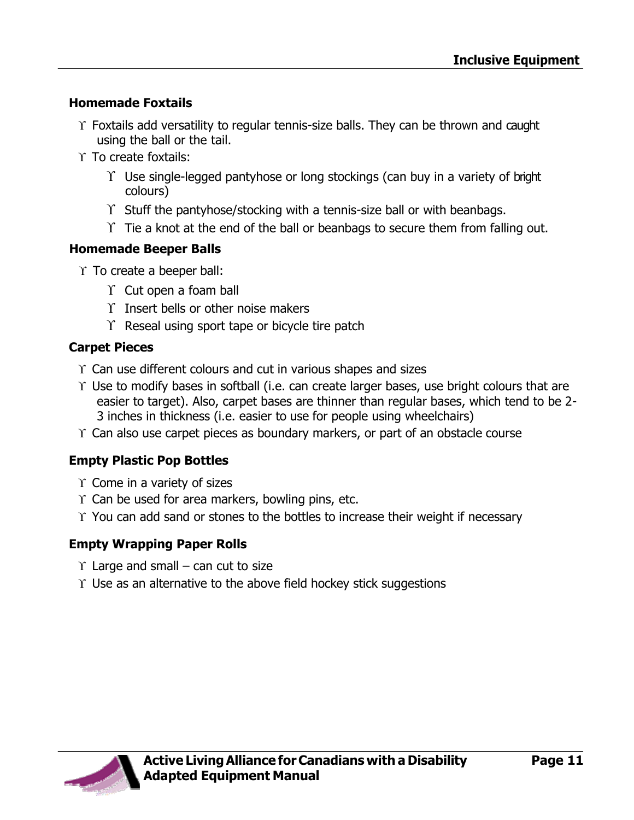### **Homemade Foxtails**

- $\Upsilon$  Foxtails add versatility to regular tennis-size balls. They can be thrown and caught using the ball or the tail.
- $\Upsilon$  To create foxtails:
	- $\Upsilon$  Use single-legged pantyhose or long stockings (can buy in a variety of bright colours)
	- $\Upsilon$  Stuff the pantyhose/stocking with a tennis-size ball or with beanbags.
	- $\Upsilon$  Tie a knot at the end of the ball or beanbags to secure them from falling out.

### **Homemade Beeper Balls**

- $\Upsilon$  To create a beeper ball:
	- $\Upsilon$  Cut open a foam ball
	- $\Upsilon$  Insert bells or other noise makers
	- $\Upsilon$  Reseal using sport tape or bicycle tire patch

### **Carpet Pieces**

- $\Upsilon$  Can use different colours and cut in various shapes and sizes
- $\Upsilon$  Use to modify bases in softball (i.e. can create larger bases, use bright colours that are easier to target). Also, carpet bases are thinner than regular bases, which tend to be 2- 3 inches in thickness (i.e. easier to use for people using wheelchairs)
- $\Upsilon$  Can also use carpet pieces as boundary markers, or part of an obstacle course

# **Empty Plastic Pop Bottles**

- $\Upsilon$  Come in a variety of sizes
- $\Upsilon$  Can be used for area markers, bowling pins, etc.
- $\Upsilon$  You can add sand or stones to the bottles to increase their weight if necessary

# **Empty Wrapping Paper Rolls**

- $\Upsilon$  Large and small can cut to size
- $\Upsilon$  Use as an alternative to the above field hockey stick suggestions

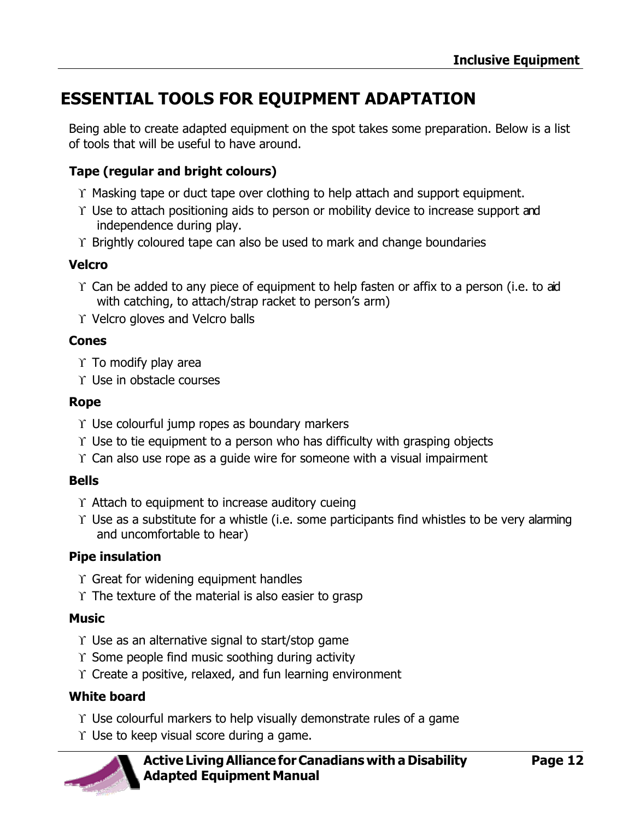# <span id="page-13-0"></span>**ESSENTIAL TOOLS FOR EQUIPMENT ADAPTATION**

Being able to create adapted equipment on the spot takes some preparation. Below is a list of tools that will be useful to have around.

## **Tape (regular and bright colours)**

- $\Upsilon$  Masking tape or duct tape over clothing to help attach and support equipment.
- $\Upsilon$  Use to attach positioning aids to person or mobility device to increase support and independence during play.
- $\Upsilon$  Brightly coloured tape can also be used to mark and change boundaries

#### **Velcro**

- $\Upsilon$  Can be added to any piece of equipment to help fasten or affix to a person (i.e. to aid with catching, to attach/strap racket to person's arm)
- $\Upsilon$  Velcro gloves and Velcro balls

#### **Cones**

- $\Upsilon$  To modify play area
- $\Upsilon$  Use in obstacle courses

#### **Rope**

- $\Upsilon$  Use colourful jump ropes as boundary markers
- $\Upsilon$  Use to tie equipment to a person who has difficulty with grasping objects
- $\Upsilon$  Can also use rope as a quide wire for someone with a visual impairment

#### **Bells**

- $\Upsilon$  Attach to equipment to increase auditory cueing
- $\Upsilon$  Use as a substitute for a whistle (i.e. some participants find whistles to be very alarming and uncomfortable to hear)

#### **Pipe insulation**

- $\Upsilon$  Great for widening equipment handles
- $\Upsilon$  The texture of the material is also easier to grasp

#### **Music**

- $\Upsilon$  Use as an alternative signal to start/stop game
- $\Upsilon$  Some people find music soothing during activity
- $\Upsilon$  Create a positive, relaxed, and fun learning environment

#### **White board**

- $\Upsilon$  Use colourful markers to help visually demonstrate rules of a game
- $\Upsilon$  Use to keep visual score during a game.

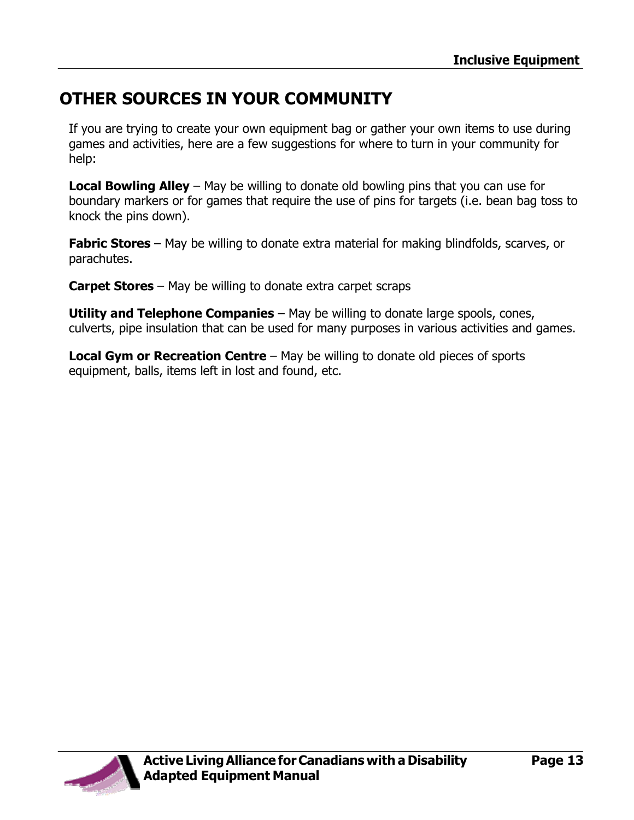# <span id="page-14-0"></span>**OTHER SOURCES IN YOUR COMMUNITY**

If you are trying to create your own equipment bag or gather your own items to use during games and activities, here are a few suggestions for where to turn in your community for help:

**Local Bowling Alley** – May be willing to donate old bowling pins that you can use for boundary markers or for games that require the use of pins for targets (i.e. bean bag toss to knock the pins down).

**Fabric Stores** – May be willing to donate extra material for making blindfolds, scarves, or parachutes.

**Carpet Stores** – May be willing to donate extra carpet scraps

**Utility and Telephone Companies** – May be willing to donate large spools, cones, culverts, pipe insulation that can be used for many purposes in various activities and games.

**Local Gym or Recreation Centre** – May be willing to donate old pieces of sports equipment, balls, items left in lost and found, etc.

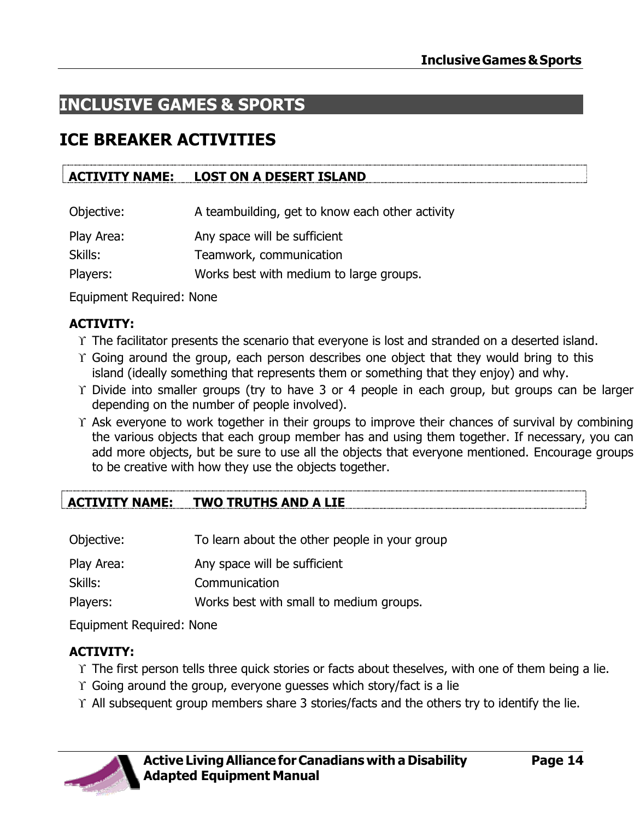# <span id="page-15-0"></span>**INCLUSIVE GAMES & SPORTS**

# **ICE BREAKER ACTIVITIES**

## **ACTIVITY NAME: LOST ON A DESERT ISLAND**

| Objective: | A teambuilding, get to know each other activity |
|------------|-------------------------------------------------|
|------------|-------------------------------------------------|

Play Area: Any space will be sufficient

Skills: Teamwork, communication

Players: Works best with medium to large groups.

Equipment Required: None

# **ACTIVITY:**

- The facilitator presents the scenario that everyone is lost and stranded on a deserted island.
- Going around the group, each person describes one object that they would bring to this island (ideally something that represents them or something that they enjoy) and why.
- $\Upsilon$  Divide into smaller groups (try to have 3 or 4 people in each group, but groups can be larger depending on the number of people involved).
- $\Upsilon$  Ask everyone to work together in their groups to improve their chances of survival by combining the various objects that each group member has and using them together. If necessary, you can add more objects, but be sure to use all the objects that everyone mentioned. Encourage groups to be creative with how they use the objects together.

# **ACTIVITY NAME: TWO TRUTHS AND A LIE**

| Objective: | To learn about the other people in your group |
|------------|-----------------------------------------------|
| Play Area: | Any space will be sufficient                  |
| Skills:    | Communication                                 |
| Players:   | Works best with small to medium groups.       |

Equipment Required: None

# **ACTIVITY:**

- The first person tells three quick stories or facts about theselves, with one of them being a lie.
- $\Upsilon$  Going around the group, everyone guesses which story/fact is a lie
- $\Upsilon$  All subsequent group members share 3 stories/facts and the others try to identify the lie.

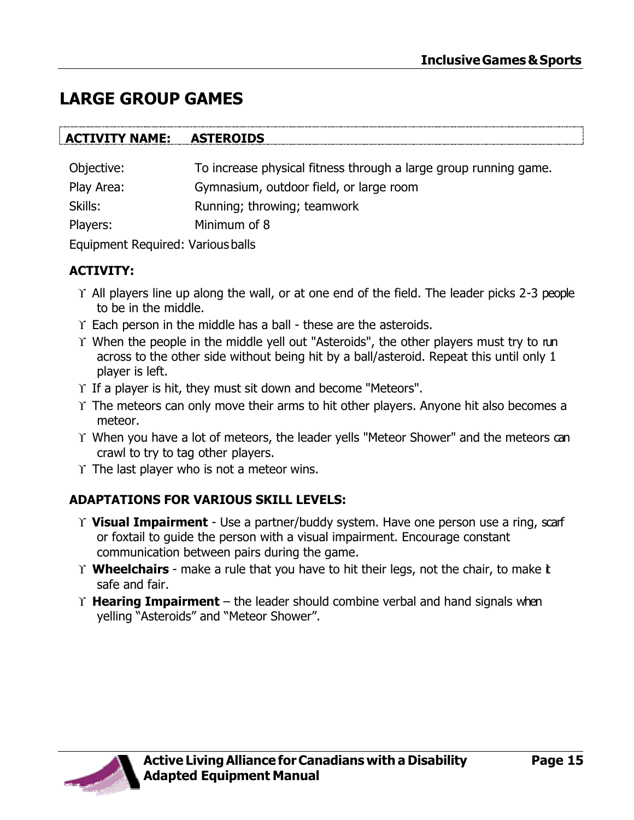# **LARGE GROUP GAMES**

| <b>ACTIVITY NAME:</b> | <b>ASTEROIDS</b>                                                 |
|-----------------------|------------------------------------------------------------------|
| Objective:            | To increase physical fitness through a large group running game. |
| Play Area:            | Gymnasium, outdoor field, or large room                          |
| Skills:               | Running; throwing; teamwork                                      |
| Players:              | Minimum of 8                                                     |
| -                     |                                                                  |

Equipment Required: Various balls

#### **ACTIVITY:**

- $\Upsilon$  All players line up along the wall, or at one end of the field. The leader picks 2-3 people to be in the middle.
- $\Upsilon$  Each person in the middle has a ball these are the asteroids.
- Y When the people in the middle yell out "Asteroids", the other players must try to run across to the other side without being hit by a ball/asteroid. Repeat this until only 1 player is left.
- $\Upsilon$  If a player is hit, they must sit down and become "Meteors".
- $\Upsilon$  The meteors can only move their arms to hit other players. Anyone hit also becomes a meteor.
- When you have a lot of meteors, the leader yells "Meteor Shower" and the meteors can crawl to try to tag other players.
- $\Upsilon$  The last player who is not a meteor wins.

# **ADAPTATIONS FOR VARIOUS SKILL LEVELS:**

- **Visual Impairment**  Use a partner/buddy system. Have one person use a ring, scarf or foxtail to guide the person with a visual impairment. Encourage constant communication between pairs during the game.
- **Wheelchairs**  make a rule that you have to hit their legs, not the chair, to make it safe and fair.
- **Hearing Impairment**  the leader should combine verbal and hand signals when yelling "Asteroids" and "Meteor Shower".

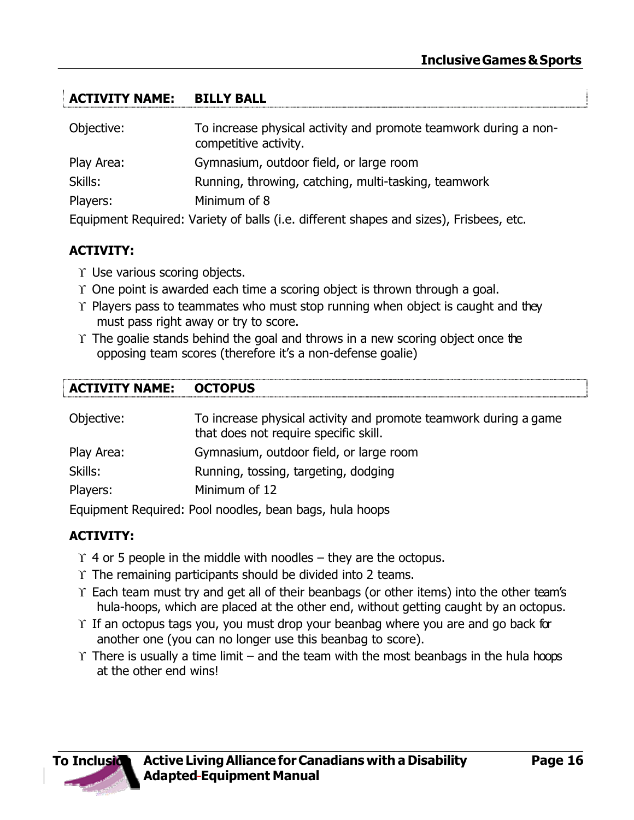### **ACTIVITY NAME: BILLY BALL**

| Objective: | To increase physical activity and promote teamwork during a non-<br>competitive activity. |
|------------|-------------------------------------------------------------------------------------------|
| Play Area: | Gymnasium, outdoor field, or large room                                                   |
| Skills:    | Running, throwing, catching, multi-tasking, teamwork                                      |
| Players:   | Minimum of 8                                                                              |
|            | Equipment Dequired: Variatu of holle G.o. different change and close). Existence, ato     |

Equipment Required: Variety of balls (i.e. different shapes and sizes), Frisbees, etc.

#### **ACTIVITY:**

- $\Upsilon$  Use various scoring objects.
- $\Upsilon$  One point is awarded each time a scoring object is thrown through a goal.
- $\Upsilon$  Players pass to teammates who must stop running when object is caught and they must pass right away or try to score.
- $\Upsilon$  The goalie stands behind the goal and throws in a new scoring object once the opposing team scores (therefore it's a non-defense goalie)

#### **ACTIVITY NAME: OCTOPUS**

| Objective: | To increase physical activity and promote teamwork during a game<br>that does not require specific skill. |  |
|------------|-----------------------------------------------------------------------------------------------------------|--|
| Play Area: | Gymnasium, outdoor field, or large room                                                                   |  |
| Skills:    | Running, tossing, targeting, dodging                                                                      |  |
| Players:   | Minimum of 12                                                                                             |  |
|            | .                                                                                                         |  |

Equipment Required: Pool noodles, bean bags, hula hoops

#### **ACTIVITY:**

- $\Upsilon$  4 or 5 people in the middle with noodles they are the octopus.
- $\Upsilon$  The remaining participants should be divided into 2 teams.
- $\Upsilon$  Each team must try and get all of their beanbags (or other items) into the other team's hula-hoops, which are placed at the other end, without getting caught by an octopus.
- $\Upsilon$  If an octopus tags you, you must drop your beanbag where you are and go back for another one (you can no longer use this beanbag to score).
- $\Upsilon$  There is usually a time limit and the team with the most beanbags in the hula hoops at the other end wins!

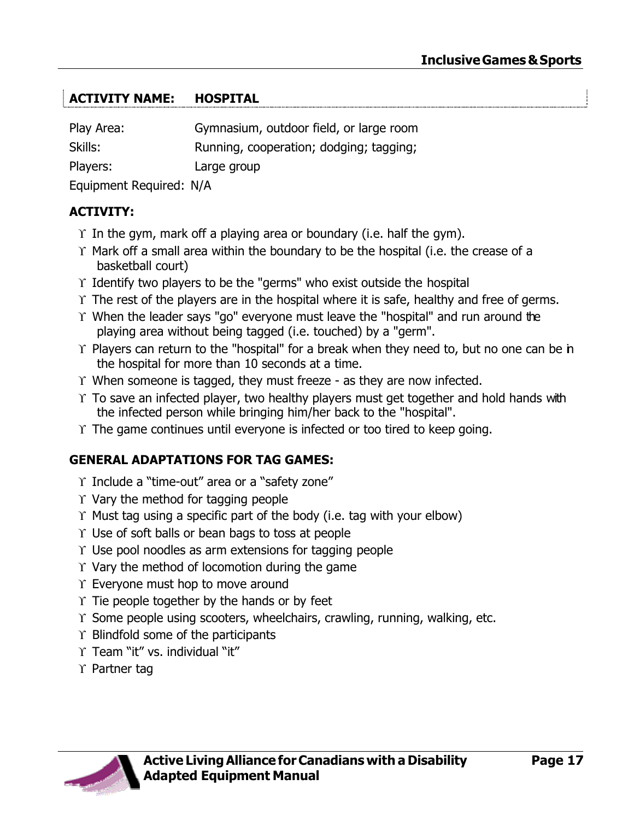### **ACTIVITY NAME: HOSPITAL**

| Play Area:              | Gymnasium, outdoor field, or large room |
|-------------------------|-----------------------------------------|
| Skills:                 | Running, cooperation; dodging; tagging; |
| Players:                | Large group                             |
| Equipment Dequired, N/A |                                         |

Equipment Required: N/A

#### **ACTIVITY:**

- $\Upsilon$  In the gym, mark off a playing area or boundary (i.e. half the gym).
- $\Upsilon$  Mark off a small area within the boundary to be the hospital (i.e. the crease of a basketball court)
- $\Upsilon$  Identify two players to be the "germs" who exist outside the hospital
- $\Upsilon$  The rest of the players are in the hospital where it is safe, healthy and free of germs.
- $\Upsilon$  When the leader says "go" everyone must leave the "hospital" and run around the playing area without being tagged (i.e. touched) by a "germ".
- $\Upsilon$  Players can return to the "hospital" for a break when they need to, but no one can be in the hospital for more than 10 seconds at a time.
- $\Upsilon$  When someone is tagged, they must freeze as they are now infected.
- $\Upsilon$  To save an infected player, two healthy players must get together and hold hands with the infected person while bringing him/her back to the "hospital".
- $\Upsilon$  The game continues until everyone is infected or too tired to keep going.

#### **GENERAL ADAPTATIONS FOR TAG GAMES:**

- $\Upsilon$  Include a "time-out" area or a "safety zone"
- $\Upsilon$  Vary the method for tagging people
- $\Upsilon$  Must tag using a specific part of the body (i.e. tag with your elbow)
- $\Upsilon$  Use of soft balls or bean bags to toss at people
- $\Upsilon$  Use pool noodles as arm extensions for tagging people
- $\Upsilon$  Vary the method of locomotion during the game
- $\Upsilon$  Everyone must hop to move around
- $\Upsilon$  Tie people together by the hands or by feet
- $\Upsilon$  Some people using scooters, wheelchairs, crawling, running, walking, etc.
- $\Upsilon$  Blindfold some of the participants
- $\Upsilon$  Team "it" vs. individual "it"
- $\Upsilon$  Partner tag

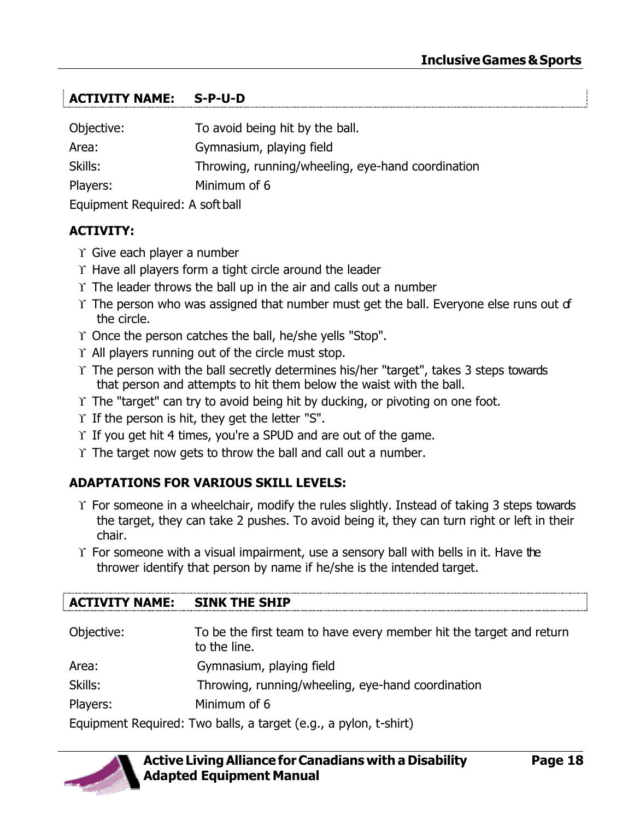# **ACTIVITY NAME: S-P-U-D**

| Objective:                      | To avoid being hit by the ball.                   |
|---------------------------------|---------------------------------------------------|
| Area:                           | Gymnasium, playing field                          |
| Skills:                         | Throwing, running/wheeling, eye-hand coordination |
| Minimum of 6<br>Players:        |                                                   |
| Equipment Required: A soft ball |                                                   |

#### **ACTIVITY:**

- $\Upsilon$  Give each player a number
- $\Upsilon$  Have all players form a tight circle around the leader
- $\Upsilon$  The leader throws the ball up in the air and calls out a number
- $\Upsilon$  The person who was assigned that number must get the ball. Everyone else runs out of the circle.
- Y Once the person catches the ball, he/she yells "Stop".
- $\Upsilon$  All players running out of the circle must stop.
- $\Upsilon$  The person with the ball secretly determines his/her "target", takes 3 steps towards that person and attempts to hit them below the waist with the ball.
- $\Upsilon$  The "target" can try to avoid being hit by ducking, or pivoting on one foot.
- $\Upsilon$  If the person is hit, they get the letter "S".
- $\Upsilon$  If you get hit 4 times, you're a SPUD and are out of the game.
- $\Upsilon$  The target now gets to throw the ball and call out a number.

#### **ADAPTATIONS FOR VARIOUS SKILL LEVELS:**

- $\Upsilon$  For someone in a wheelchair, modify the rules slightly. Instead of taking 3 steps towards the target, they can take 2 pushes. To avoid being it, they can turn right or left in their chair.
- $\Upsilon$  For someone with a visual impairment, use a sensory ball with bells in it. Have the thrower identify that person by name if he/she is the intended target.

| <b>ACTIVITY NAME:</b> | <b>SINK THE SHIP</b>                                                                |
|-----------------------|-------------------------------------------------------------------------------------|
| Objective:            | To be the first team to have every member hit the target and return<br>to the line. |
| Area:                 | Gymnasium, playing field                                                            |
| Skills:               | Throwing, running/wheeling, eye-hand coordination                                   |
| Players:              | Minimum of 6                                                                        |
|                       | Equipment Required: Two balls, a target (e.g., a pylon, t-shirt)                    |

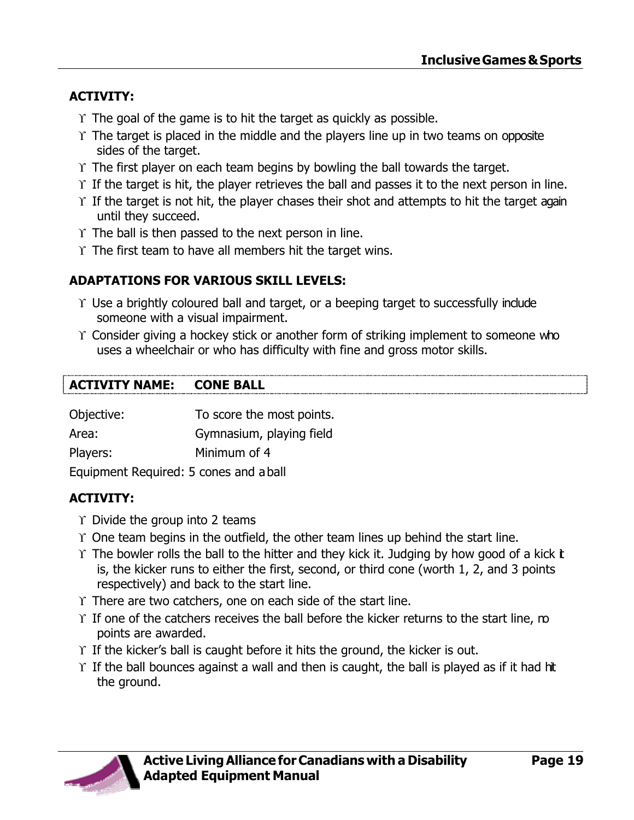### **ACTIVITY:**

- $\Upsilon$  The goal of the game is to hit the target as quickly as possible.
- $\Upsilon$  The target is placed in the middle and the players line up in two teams on opposite sides of the target.
- $\Upsilon$  The first player on each team begins by bowling the ball towards the target.
- $\Upsilon$  If the target is hit, the player retrieves the ball and passes it to the next person in line.
- $\Upsilon$  If the target is not hit, the player chases their shot and attempts to hit the target again until they succeed.
- $\Upsilon$  The ball is then passed to the next person in line.
- $\Upsilon$  The first team to have all members hit the target wins.

### **ADAPTATIONS FOR VARIOUS SKILL LEVELS:**

- $\Upsilon$  Use a brightly coloured ball and target, or a beeping target to successfully include someone with a visual impairment.
- $\Upsilon$  Consider giving a hockey stick or another form of striking implement to someone who uses a wheelchair or who has difficulty with fine and gross motor skills.

#### **ACTIVITY NAME: CONE BALL**

| Objective:                             | To score the most points. |  |
|----------------------------------------|---------------------------|--|
| Area:                                  | Gymnasium, playing field  |  |
| Players:                               | Minimum of 4              |  |
| Equipment Required: 5 cones and a ball |                           |  |

# **ACTIVITY:**

- $\Upsilon$  Divide the group into 2 teams
- $\Upsilon$  One team begins in the outfield, the other team lines up behind the start line.
- $\Upsilon$  The bowler rolls the ball to the hitter and they kick it. Judging by how good of a kick t is, the kicker runs to either the first, second, or third cone (worth 1, 2, and 3 points respectively) and back to the start line.
- $\Upsilon$  There are two catchers, one on each side of the start line.
- $\Upsilon$  If one of the catchers receives the ball before the kicker returns to the start line, mo points are awarded.
- $\Upsilon$  If the kicker's ball is caught before it hits the ground, the kicker is out.
- $\Upsilon$  If the ball bounces against a wall and then is caught, the ball is played as if it had hit the ground.

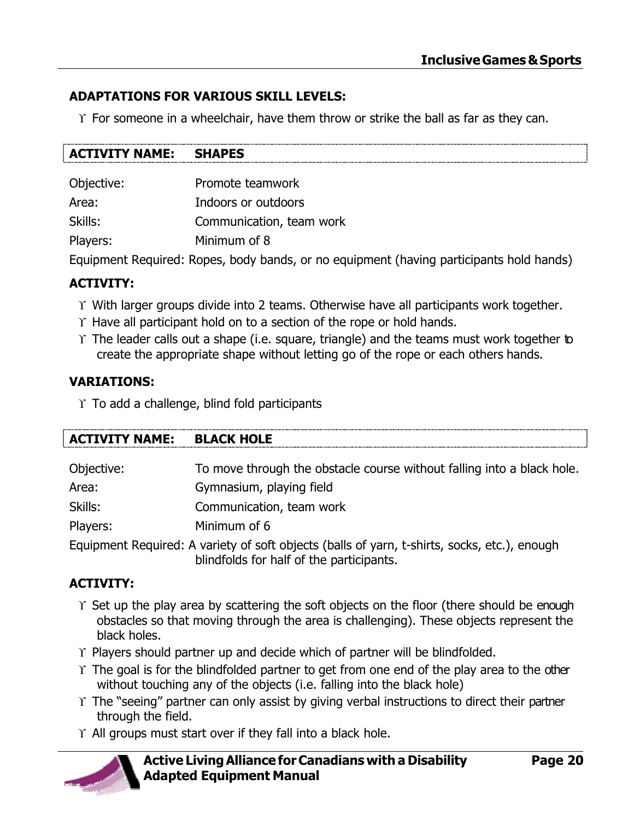#### **ADAPTATIONS FOR VARIOUS SKILL LEVELS:**

 $\Upsilon$  For someone in a wheelchair, have them throw or strike the ball as far as they can.

| <b>SHAPES</b><br><b>ACTIVITY NAME:</b> |  |
|----------------------------------------|--|
|----------------------------------------|--|

| Promote teamwork         |
|--------------------------|
| Indoors or outdoors      |
| Communication, team work |
| Minimum of 8             |
|                          |

Equipment Required: Ropes, body bands, or no equipment (having participants hold hands)

#### **ACTIVITY:**

- $\Upsilon$  With larger groups divide into 2 teams. Otherwise have all participants work together.
- $\Upsilon$  Have all participant hold on to a section of the rope or hold hands.
- $\Upsilon$  The leader calls out a shape (i.e. square, triangle) and the teams must work together to create the appropriate shape without letting go of the rope or each others hands.

#### **VARIATIONS:**

 $\Upsilon$  To add a challenge, blind fold participants

| <b>ACTIVITY NAME:</b> | <b>BLACK HOLE</b>                                                      |
|-----------------------|------------------------------------------------------------------------|
| Objective:            | To move through the obstacle course without falling into a black hole. |
| Area:                 | Gymnasium, playing field                                               |
| Skills:               | Communication, team work                                               |
| Players:              | Minimum of 6                                                           |
|                       |                                                                        |

Equipment Required: A variety of soft objects (balls of yarn, t-shirts, socks, etc.), enough blindfolds for half of the participants.

#### **ACTIVITY:**

- $\Upsilon$  Set up the play area by scattering the soft objects on the floor (there should be enough obstacles so that moving through the area is challenging). These objects represent the black holes.
- $\Upsilon$  Players should partner up and decide which of partner will be blindfolded.
- $\Upsilon$  The goal is for the blindfolded partner to get from one end of the play area to the other without touching any of the objects (i.e. falling into the black hole)
- $\Upsilon$  The "seeing" partner can only assist by giving verbal instructions to direct their partner through the field.
- $\Upsilon$  All groups must start over if they fall into a black hole.

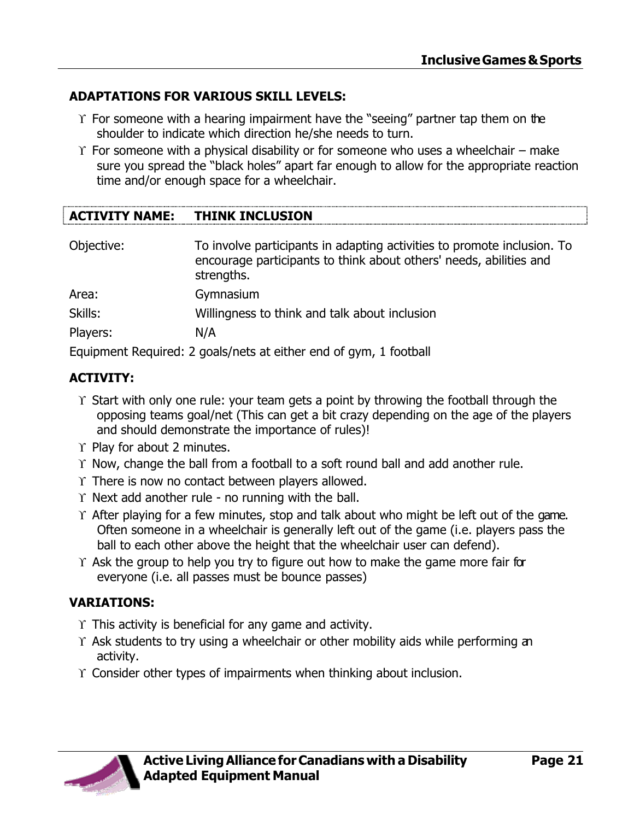#### **ADAPTATIONS FOR VARIOUS SKILL LEVELS:**

- $\Upsilon$  For someone with a hearing impairment have the "seeing" partner tap them on the shoulder to indicate which direction he/she needs to turn.
- $\Upsilon$  For someone with a physical disability or for someone who uses a wheelchair make sure you spread the "black holes" apart far enough to allow for the appropriate reaction time and/or enough space for a wheelchair.

#### **ACTIVITY NAME: THINK INCLUSION**

| Objective: | To involve participants in adapting activities to promote inclusion. To<br>encourage participants to think about others' needs, abilities and<br>strengths. |
|------------|-------------------------------------------------------------------------------------------------------------------------------------------------------------|
| Area:      | Gymnasium                                                                                                                                                   |
| Skills:    | Willingness to think and talk about inclusion                                                                                                               |
| Players:   | N/A                                                                                                                                                         |
|            | Equipment Required: 2 goals/nets at either end of gym, 1 football                                                                                           |

#### **ACTIVITY:**

- $\Upsilon$  Start with only one rule: your team gets a point by throwing the football through the opposing teams goal/net (This can get a bit crazy depending on the age of the players and should demonstrate the importance of rules)!
- $\Upsilon$  Play for about 2 minutes.
- $\Upsilon$  Now, change the ball from a football to a soft round ball and add another rule.
- $\Upsilon$  There is now no contact between players allowed.
- $\Upsilon$  Next add another rule no running with the ball.
- $\Upsilon$  After playing for a few minutes, stop and talk about who might be left out of the game. Often someone in a wheelchair is generally left out of the game (i.e. players pass the ball to each other above the height that the wheelchair user can defend).
- $\Upsilon$  Ask the group to help you try to figure out how to make the game more fair for everyone (i.e. all passes must be bounce passes)

#### **VARIATIONS:**

- $\Upsilon$  This activity is beneficial for any game and activity.
- $\Upsilon$  Ask students to try using a wheelchair or other mobility aids while performing an activity.
- Consider other types of impairments when thinking about inclusion.

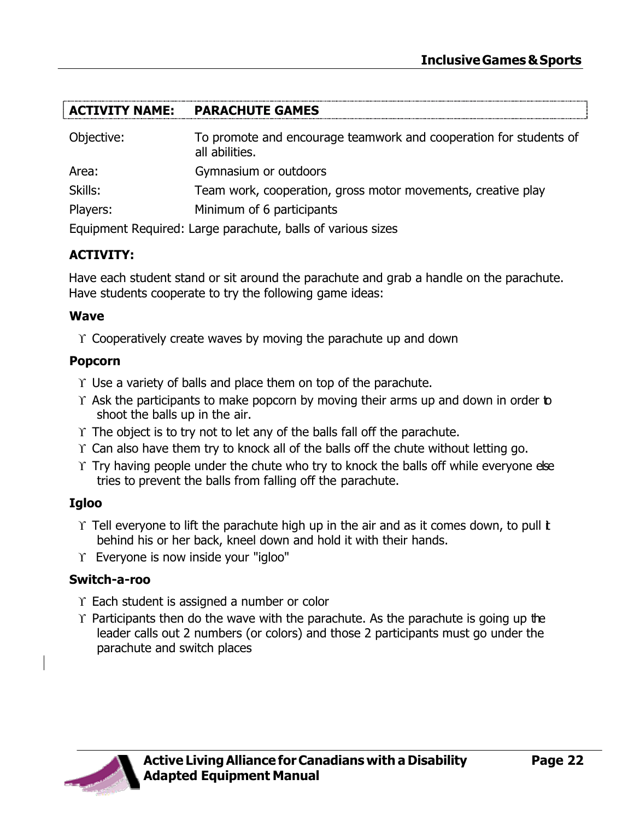#### **ACTIVITY NAME: PARACHUTE GAMES**

| Objective: | To promote and encourage teamwork and cooperation for students of<br>all abilities. |
|------------|-------------------------------------------------------------------------------------|
| Area:      | Gymnasium or outdoors                                                               |
| Skills:    | Team work, cooperation, gross motor movements, creative play                        |
| Players:   | Minimum of 6 participants                                                           |
|            |                                                                                     |

Equipment Required: Large parachute, balls of various sizes

#### **ACTIVITY:**

Have each student stand or sit around the parachute and grab a handle on the parachute. Have students cooperate to try the following game ideas:

#### **Wave**

 $\Upsilon$  Cooperatively create waves by moving the parachute up and down

#### **Popcorn**

- $\Upsilon$  Use a variety of balls and place them on top of the parachute.
- $\Upsilon$  Ask the participants to make popcorn by moving their arms up and down in order to shoot the balls up in the air.
- $\Upsilon$  The object is to try not to let any of the balls fall off the parachute.
- $\Upsilon$  Can also have them try to knock all of the balls off the chute without letting go.
- $\Upsilon$  Try having people under the chute who try to knock the balls off while everyone else tries to prevent the balls from falling off the parachute.

#### **Igloo**

- $\Upsilon$  Tell everyone to lift the parachute high up in the air and as it comes down, to pull t behind his or her back, kneel down and hold it with their hands.
- Everyone is now inside your "igloo"

#### **Switch-a-roo**

- $\Upsilon$  Each student is assigned a number or color
- $\Upsilon$  Participants then do the wave with the parachute. As the parachute is going up the leader calls out 2 numbers (or colors) and those 2 participants must go under the parachute and switch places

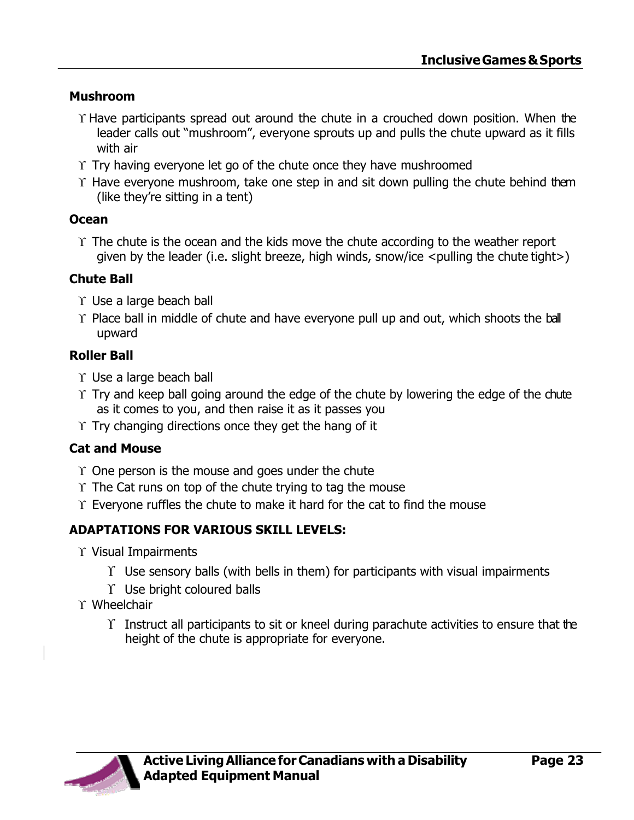#### **Mushroom**

- $\Upsilon$  Have participants spread out around the chute in a crouched down position. When the leader calls out "mushroom", everyone sprouts up and pulls the chute upward as it fills with air
- $\Upsilon$  Try having everyone let go of the chute once they have mushroomed
- $\Upsilon$  Have everyone mushroom, take one step in and sit down pulling the chute behind them (like they're sitting in a tent)

#### **Ocean**

 $\Upsilon$  The chute is the ocean and the kids move the chute according to the weather report given by the leader (i.e. slight breeze, high winds, snow/ice  $\leq$  pulling the chute tight $\geq$ )

#### **Chute Ball**

- $\Upsilon$  Use a large beach ball
- $\Upsilon$  Place ball in middle of chute and have everyone pull up and out, which shoots the ball upward

### **Roller Ball**

- $\Upsilon$  Use a large beach ball
- $\Upsilon$  Try and keep ball going around the edge of the chute by lowering the edge of the chute as it comes to you, and then raise it as it passes you
- $\Upsilon$  Try changing directions once they get the hang of it

#### **Cat and Mouse**

- $\Upsilon$  One person is the mouse and goes under the chute
- $\Upsilon$  The Cat runs on top of the chute trying to tag the mouse
- $\Upsilon$  Everyone ruffles the chute to make it hard for the cat to find the mouse

#### **ADAPTATIONS FOR VARIOUS SKILL LEVELS:**

- $\Upsilon$  Visual Impairments
	- $\Upsilon$  Use sensory balls (with bells in them) for participants with visual impairments
	- $\Upsilon$  Use bright coloured balls
- Wheelchair
	- $\Upsilon$  Instruct all participants to sit or kneel during parachute activities to ensure that the height of the chute is appropriate for everyone.

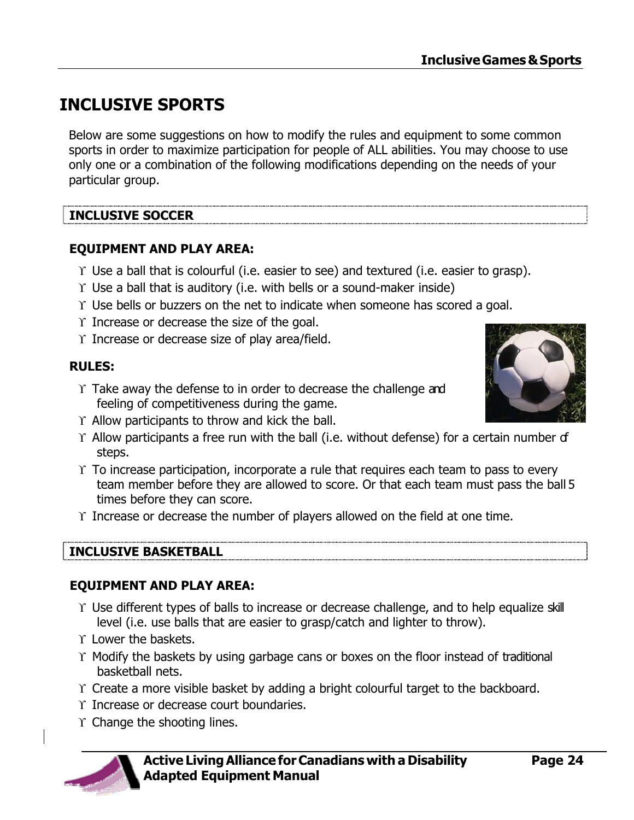# <span id="page-25-0"></span>**INCLUSIVE SPORTS**

Below are some suggestions on how to modify the rules and equipment to some common sports in order to maximize participation for people of ALL abilities. You may choose to use only one or a combination of the following modifications depending on the needs of your particular group.

### **INCLUSIVE SOCCER**

#### **EQUIPMENT AND PLAY AREA:**

- $\Upsilon$  Use a ball that is colourful (i.e. easier to see) and textured (i.e. easier to grasp).
- $\Upsilon$  Use a ball that is auditory (i.e. with bells or a sound-maker inside)
- Use bells or buzzers on the net to indicate when someone has scored a goal.
- $\Upsilon$  Increase or decrease the size of the goal.
- $\Upsilon$  Increase or decrease size of play area/field.

#### **RULES:**

- $\Upsilon$  Take away the defense to in order to decrease the challenge and feeling of competitiveness during the game.
- $\Upsilon$  Allow participants to throw and kick the ball.
- $\Upsilon$  Allow participants a free run with the ball (i.e. without defense) for a certain number of steps.
- $\Upsilon$  To increase participation, incorporate a rule that requires each team to pass to every team member before they are allowed to score. Or that each team must pass the ball 5 times before they can score.
- $\Upsilon$  Increase or decrease the number of players allowed on the field at one time.

#### **INCLUSIVE BASKETBALL**

#### **EQUIPMENT AND PLAY AREA:**

- Use different types of balls to increase or decrease challenge, and to help equalize skill level (i.e. use balls that are easier to grasp/catch and lighter to throw).
- T Lower the baskets.
- $\Upsilon$  Modify the baskets by using garbage cans or boxes on the floor instead of traditional basketball nets.
- Create a more visible basket by adding a bright colourful target to the backboard.
- $\Upsilon$  Increase or decrease court boundaries.
- $\Upsilon$  Change the shooting lines.



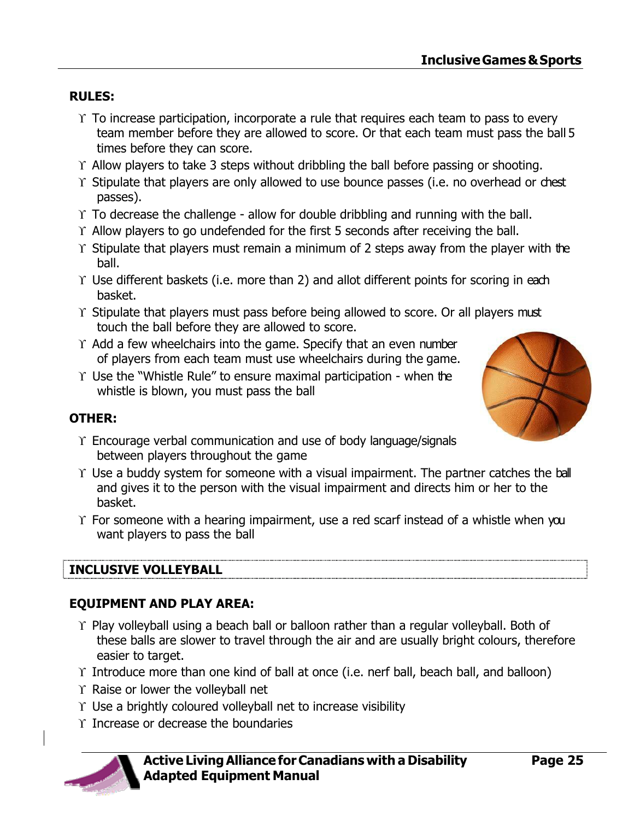#### **RULES:**

- $\Upsilon$  To increase participation, incorporate a rule that requires each team to pass to every team member before they are allowed to score. Or that each team must pass the ball 5 times before they can score.
- $\Upsilon$  Allow players to take 3 steps without dribbling the ball before passing or shooting.
- Y Stipulate that players are only allowed to use bounce passes (i.e. no overhead or chest passes).
- $\Upsilon$  To decrease the challenge allow for double dribbling and running with the ball.
- $\Upsilon$  Allow players to go undefended for the first 5 seconds after receiving the ball.
- $\Upsilon$  Stipulate that players must remain a minimum of 2 steps away from the player with the ball.
- $\Upsilon$  Use different baskets (i.e. more than 2) and allot different points for scoring in each basket.
- $\Upsilon$  Stipulate that players must pass before being allowed to score. Or all players must touch the ball before they are allowed to score.
- $\Upsilon$  Add a few wheelchairs into the game. Specify that an even number of players from each team must use wheelchairs during the game.
- $\Upsilon$  Use the "Whistle Rule" to ensure maximal participation when the whistle is blown, you must pass the ball



#### **OTHER:**

- $\Upsilon$  Encourage verbal communication and use of body language/signals between players throughout the game
- $\Upsilon$  Use a buddy system for someone with a visual impairment. The partner catches the ball and gives it to the person with the visual impairment and directs him or her to the basket.
- $\Upsilon$  For someone with a hearing impairment, use a red scarf instead of a whistle when you want players to pass the ball

#### **INCLUSIVE VOLLEYBALL**

#### **EQUIPMENT AND PLAY AREA:**

- $\Upsilon$  Play volleyball using a beach ball or balloon rather than a regular volleyball. Both of these balls are slower to travel through the air and are usually bright colours, therefore easier to target.
- Introduce more than one kind of ball at once (i.e. nerf ball, beach ball, and balloon)
- $\Upsilon$  Raise or lower the volleyball net
- $\Upsilon$  Use a brightly coloured volleyball net to increase visibility
- $\Upsilon$  Increase or decrease the boundaries



#### **Active LivingAlliance forCanadians with a Disability Adapted Equipment Manual**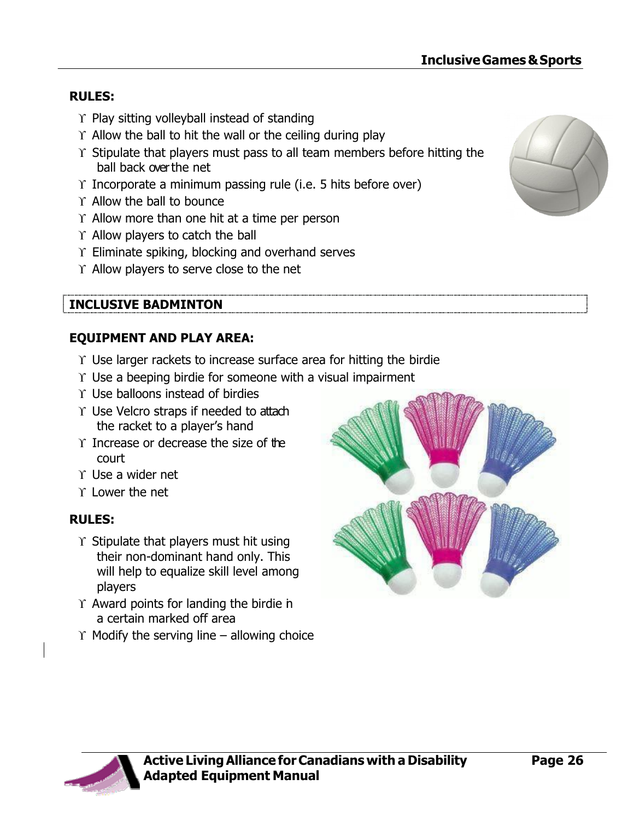#### **RULES:**

- $\Upsilon$  Play sitting volleyball instead of standing
- $\Upsilon$  Allow the ball to hit the wall or the ceiling during play
- $\Upsilon$  Stipulate that players must pass to all team members before hitting the ball back over the net
- $\Upsilon$  Incorporate a minimum passing rule (i.e. 5 hits before over)
- $\Upsilon$  Allow the ball to bounce
- $\Upsilon$  Allow more than one hit at a time per person
- $\Upsilon$  Allow players to catch the ball
- $\Upsilon$  Eliminate spiking, blocking and overhand serves
- $\Upsilon$  Allow players to serve close to the net

#### **INCLUSIVE BADMINTON**

#### **EQUIPMENT AND PLAY AREA:**

- $\Upsilon$  Use larger rackets to increase surface area for hitting the birdie
- $\Upsilon$  Use a beeping birdie for someone with a visual impairment
- $\Upsilon$  Use balloons instead of birdies
- Use Velcro straps if needed to attach the racket to a player's hand
- $\Upsilon$  Increase or decrease the size of the court
- $\Upsilon$  Use a wider net
- $\Upsilon$  Lower the net

#### **RULES:**

- $\Upsilon$  Stipulate that players must hit using their non-dominant hand only. This will help to equalize skill level among players
- $\Upsilon$  Award points for landing the birdie in a certain marked off area
- $\Upsilon$  Modify the serving line allowing choice





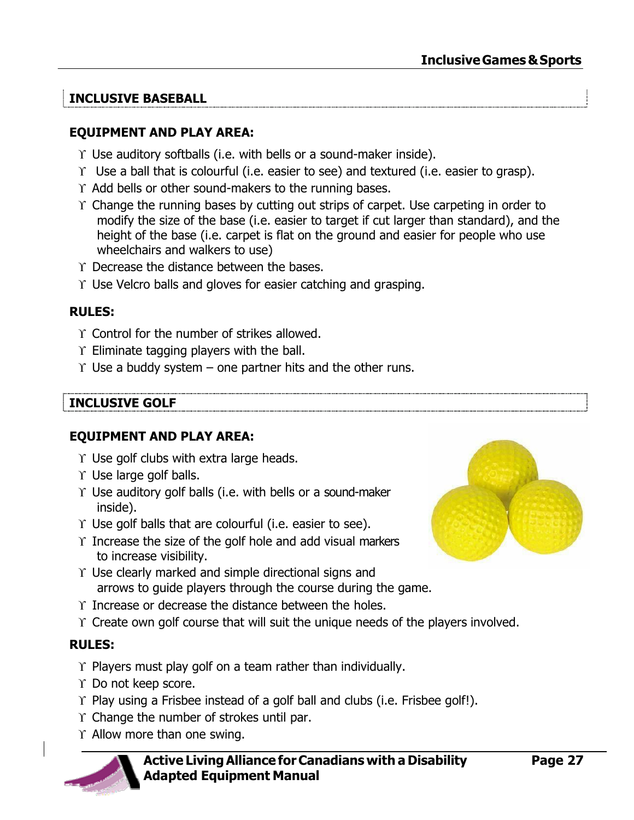### **INCLUSIVE BASEBALL**

#### **EQUIPMENT AND PLAY AREA:**

- $\Upsilon$  Use auditory softballs (i.e. with bells or a sound-maker inside).
- $\Upsilon$  Use a ball that is colourful (i.e. easier to see) and textured (i.e. easier to grasp).
- $\Upsilon$  Add bells or other sound-makers to the running bases.
- $\Upsilon$  Change the running bases by cutting out strips of carpet. Use carpeting in order to modify the size of the base (i.e. easier to target if cut larger than standard), and the height of the base (i.e. carpet is flat on the ground and easier for people who use wheelchairs and walkers to use)
- $\Upsilon$  Decrease the distance between the bases.
- $\Upsilon$  Use Velcro balls and gloves for easier catching and grasping.

#### **RULES:**

- $\Upsilon$  Control for the number of strikes allowed.
- $\Upsilon$  Eliminate tagging players with the ball.
- $\Upsilon$  Use a buddy system one partner hits and the other runs.

#### **INCLUSIVE GOLF**

#### **EQUIPMENT AND PLAY AREA:**

- $\Upsilon$  Use golf clubs with extra large heads.
- $\Upsilon$  Use large golf balls.
- $\Upsilon$  Use auditory golf balls (i.e. with bells or a sound-maker inside).
- $\Upsilon$  Use golf balls that are colourful (i.e. easier to see).
- $\Upsilon$  Increase the size of the golf hole and add visual markers to increase visibility.
- $\Upsilon$  Use clearly marked and simple directional signs and arrows to guide players through the course during the game.
- $\Upsilon$  Increase or decrease the distance between the holes.
- $\Upsilon$  Create own golf course that will suit the unique needs of the players involved.

#### **RULES:**

- $\Upsilon$  Players must play golf on a team rather than individually.
- Do not keep score.
- $\Upsilon$  Play using a Frisbee instead of a golf ball and clubs (i.e. Frisbee golf!).
- $\Upsilon$  Change the number of strokes until par.
- $\Upsilon$  Allow more than one swing.